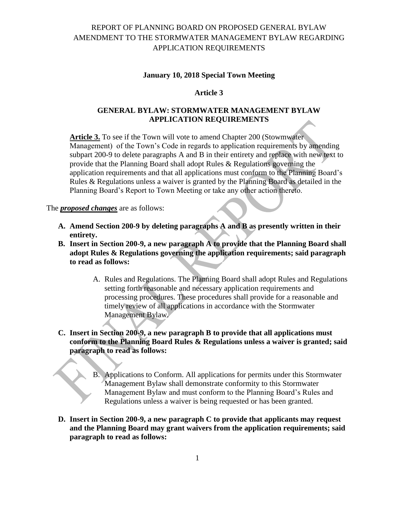# REPORT OF PLANNING BOARD ON PROPOSED GENERAL BYLAW AMENDMENT TO THE STORMWATER MANAGEMENT BYLAW REGARDING APPLICATION REQUIREMENTS

#### **January 10, 2018 Special Town Meeting**

### **Article 3**

## **GENERAL BYLAW: STORMWATER MANAGEMENT BYLAW APPLICATION REQUIREMENTS**

**Article 3.** To see if the Town will vote to amend Chapter 200 (Stowmwater Management) of the Town's Code in regards to application requirements by amending subpart 200-9 to delete paragraphs A and B in their entirety and replace with new text to provide that the Planning Board shall adopt Rules & Regulations governing the application requirements and that all applications must conform to the Planning Board's Rules & Regulations unless a waiver is granted by the Planning Board as detailed in the Planning Board's Report to Town Meeting or take any other action thereto.

#### The *proposed changes* are as follows:

- **A. Amend Section 200-9 by deleting paragraphs A and B as presently written in their entirety.**
- **B. Insert in Section 200-9, a new paragraph A to provide that the Planning Board shall adopt Rules & Regulations governing the application requirements; said paragraph to read as follows:**
	- A. Rules and Regulations. The Planning Board shall adopt Rules and Regulations setting forth reasonable and necessary application requirements and processing procedures. These procedures shall provide for a reasonable and timely review of all applications in accordance with the Stormwater Management Bylaw.
- **C. Insert in Section 200-9, a new paragraph B to provide that all applications must conform to the Planning Board Rules & Regulations unless a waiver is granted; said paragraph to read as follows:**
	- B. Applications to Conform. All applications for permits under this Stormwater Management Bylaw shall demonstrate conformity to this Stormwater Management Bylaw and must conform to the Planning Board's Rules and Regulations unless a waiver is being requested or has been granted.
- **D. Insert in Section 200-9, a new paragraph C to provide that applicants may request and the Planning Board may grant waivers from the application requirements; said paragraph to read as follows:**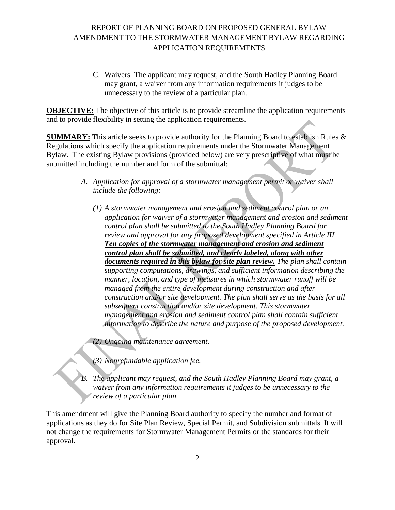# REPORT OF PLANNING BOARD ON PROPOSED GENERAL BYLAW AMENDMENT TO THE STORMWATER MANAGEMENT BYLAW REGARDING APPLICATION REQUIREMENTS

C. Waivers. The applicant may request, and the South Hadley Planning Board may grant, a waiver from any information requirements it judges to be unnecessary to the review of a particular plan.

**OBJECTIVE:** The objective of this article is to provide streamline the application requirements and to provide flexibility in setting the application requirements.

**SUMMARY:** This article seeks to provide authority for the Planning Board to establish Rules & Regulations which specify the application requirements under the Stormwater Management Bylaw. The existing Bylaw provisions (provided below) are very prescriptive of what must be submitted including the number and form of the submittal:

- *A. Application for approval of a stormwater management permit or waiver shall include the following:*
	- *(1) A stormwater management and erosion and sediment control plan or an application for waiver of a stormwater management and erosion and sediment control plan shall be submitted to the South Hadley Planning Board for review and approval for any proposed development specified in Article III. Ten copies of the stormwater management and erosion and sediment control plan shall be submitted, and clearly labeled, along with other documents required in this bylaw for site plan review. The plan shall contain supporting computations, drawings, and sufficient information describing the manner, location, and type of measures in which stormwater runoff will be managed from the entire development during construction and after construction and/or site development. The plan shall serve as the basis for all subsequent construction and/or site development. This stormwater management and erosion and sediment control plan shall contain sufficient information to describe the nature and purpose of the proposed development.*

*(2) Ongoing maintenance agreement.*

- *(3) Nonrefundable application fee.*
- *B. The applicant may request, and the South Hadley Planning Board may grant, a waiver from any information requirements it judges to be unnecessary to the review of a particular plan.*

This amendment will give the Planning Board authority to specify the number and format of applications as they do for Site Plan Review, Special Permit, and Subdivision submittals. It will not change the requirements for Stormwater Management Permits or the standards for their approval.